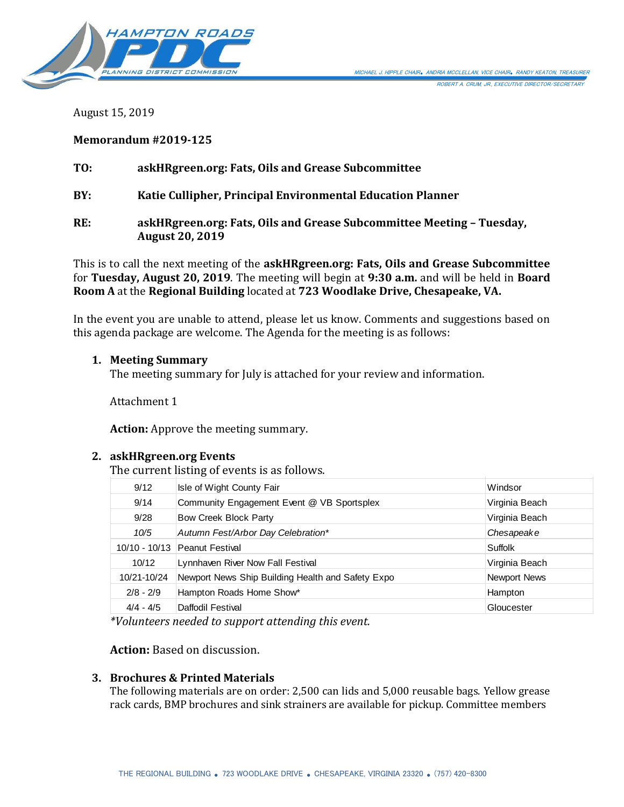

August 15, 2019

**Memorandum #2019-125**

**TO: askHRgreen.org: Fats, Oils and Grease Subcommittee**

**BY: Katie Cullipher, Principal Environmental Education Planner**

**RE: askHRgreen.org: Fats, Oils and Grease Subcommittee Meeting – Tuesday, August 20, 2019**

This is to call the next meeting of the **askHRgreen.org: Fats, Oils and Grease Subcommittee** for **Tuesday, August 20, 2019**. The meeting will begin at **9:30 a.m.** and will be held in **Board Room A** at the **Regional Building** located at **723 Woodlake Drive, Chesapeake, VA.**

In the event you are unable to attend, please let us know. Comments and suggestions based on this agenda package are welcome. The Agenda for the meeting is as follows:

## **1. Meeting Summary**

The meeting summary for July is attached for your review and information.

Attachment 1

**Action:** Approve the meeting summary.

## **2. askHRgreen.org Events**

The current listing of events is as follows. The current listing of events is as follows.

| 9/12            | Isle of Wight County Fair                         | Windsor        |
|-----------------|---------------------------------------------------|----------------|
| 9/14            | Community Engagement Event @ VB Sportsplex        | Virginia Beach |
| 9/28            | Bow Creek Block Party                             | Virginia Beach |
| 10/5            | Autumn Fest/Arbor Day Celebration*                | Chesapeake     |
| $10/10 - 10/13$ | Peanut Festival                                   | Suffolk        |
| 10/12           | Lynnhaven River Now Fall Festival                 | Virginia Beach |
| 10/21-10/24     | Newport News Ship Building Health and Safety Expo | Newport News   |
| $2/8 - 2/9$     | Hampton Roads Home Show*                          | Hampton        |
| $4/4 - 4/5$     | Daffodil Festival                                 | Gloucester     |

*\*Volunteers needed to support attending this event.*

## **Action:** Based on discussion.

## **3. Brochures & Printed Materials**

The following materials are on order: 2,500 can lids and 5,000 reusable bags. Yellow grease rack cards, BMP brochures and sink strainers are available for pickup. Committee members